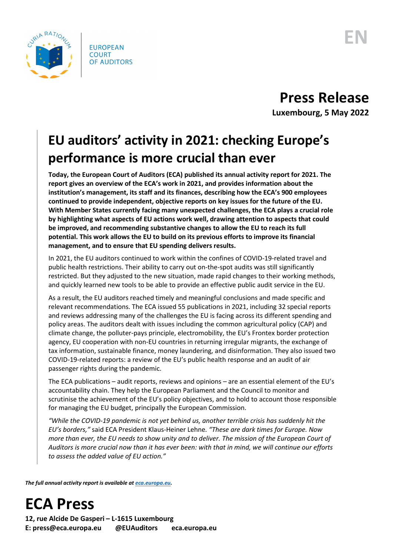

## **Press Release**

**Luxembourg, 5 May 2022**

### **EU auditors' activity in 2021: checking Europe's performance is more crucial than ever**

**Today, the European Court of Auditors (ECA) published its annual activity report for 2021. The report gives an overview of the ECA's work in 2021, and provides information about the institution's management, its staff and its finances, describing how the ECA's 900 employees continued to provide independent, objective reports on key issues for the future of the EU. With Member States currently facing many unexpected challenges, the ECA plays a crucial role by highlighting what aspects of EU actions work well, drawing attention to aspects that could be improved, and recommending substantive changes to allow the EU to reach its full potential. This work allows the EU to build on its previous efforts to improve its financial management, and to ensure that EU spending delivers results.**

In 2021, the EU auditors continued to work within the confines of COVID-19-related travel and public health restrictions. Their ability to carry out on-the-spot audits was still significantly restricted. But they adjusted to the new situation, made rapid changes to their working methods, and quickly learned new tools to be able to provide an effective public audit service in the EU.

As a result, the EU auditors reached timely and meaningful conclusions and made specific and relevant recommendations. The ECA issued 55 publications in 2021, including 32 special reports and reviews addressing many of the challenges the EU is facing across its different spending and policy areas. The auditors dealt with issues including the common agricultural policy (CAP) and climate change, the polluter-pays principle, electromobility, the EU's Frontex border protection agency, EU cooperation with non-EU countries in returning irregular migrants, the exchange of tax information, sustainable finance, money laundering, and disinformation. They also issued two COVID-19-related reports: a review of the EU's public health response and an audit of air passenger rights during the pandemic.

The ECA publications – audit reports, reviews and opinions – are an essential element of the EU's accountability chain. They help the European Parliament and the Council to monitor and scrutinise the achievement of the EU's policy objectives, and to hold to account those responsible for managing the EU budget, principally the European Commission.

*"While the COVID-19 pandemic is not yet behind us, another terrible crisis has suddenly hit the EU's borders,"* said ECA President Klaus-Heiner Lehne*. "These are dark times for Europe. Now more than ever, the EU needs to show unity and to deliver. The mission of the European Court of Auditors is more crucial now than it has ever been: with that in mind, we will continue our efforts to assess the added value of EU action."*

*The full annual activity report is available a[t eca.europa.eu.](https://www.eca.europa.eu/)*

# **ECA Press**

**12, rue Alcide De Gasperi – L-1615 Luxembourg E: press@eca.europa.eu @EUAuditors eca.europa.eu**